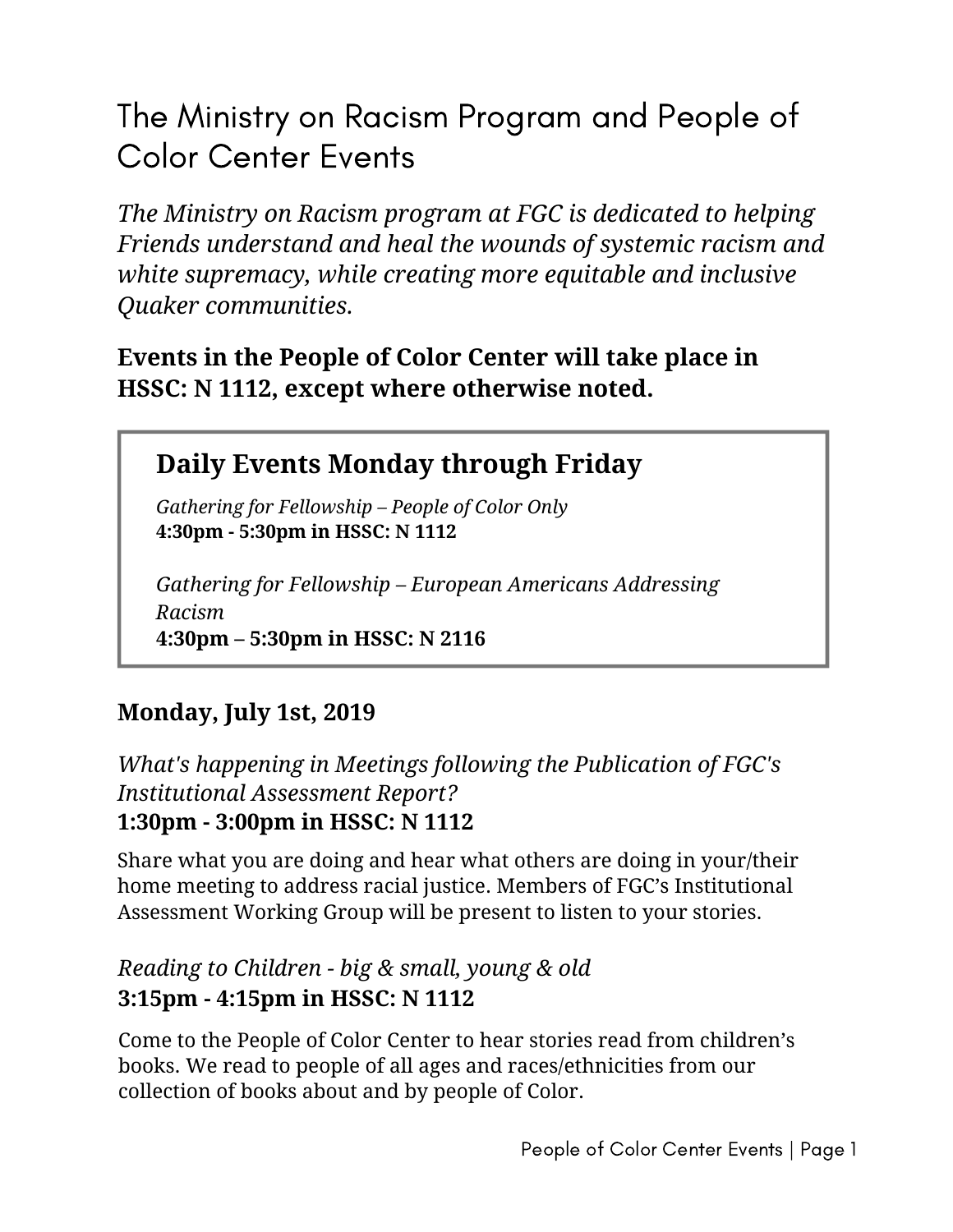The Ministry on Racism Program and People of Color Center Events

*The Ministry on Racism program at FGC is dedicated to helping Friends understand and heal the wounds of systemic racism and white supremacy, while creating more equitable and inclusive Quaker communities.*

## **Events in the People of Color Center will take place in HSSC: N 1112, except where otherwise noted.**

# **Daily Events Monday through Friday**

*Gathering for Fellowship – People of Color Only* **4:30pm - 5:30pm in HSSC: N 1112**

*Gathering for Fellowship – European Americans Addressing Racism* **4:30pm – 5:30pm in HSSC: N 2116**

## **Monday, July 1st, 2019**

*What's happening in Meetings following the Publication of FGC's Institutional Assessment Report?* **1:30pm - 3:00pm in HSSC: N 1112**

Share what you are doing and hear what others are doing in your/their home meeting to address racial justice. Members of FGC's Institutional Assessment Working Group will be present to listen to your stories.

#### *Reading to Children - big & small, young & old* **3:15pm - 4:15pm in HSSC: N 1112**

Come to the People of Color Center to hear stories read from children's books. We read to people of all ages and races/ethnicities from our collection of books about and by people of Color.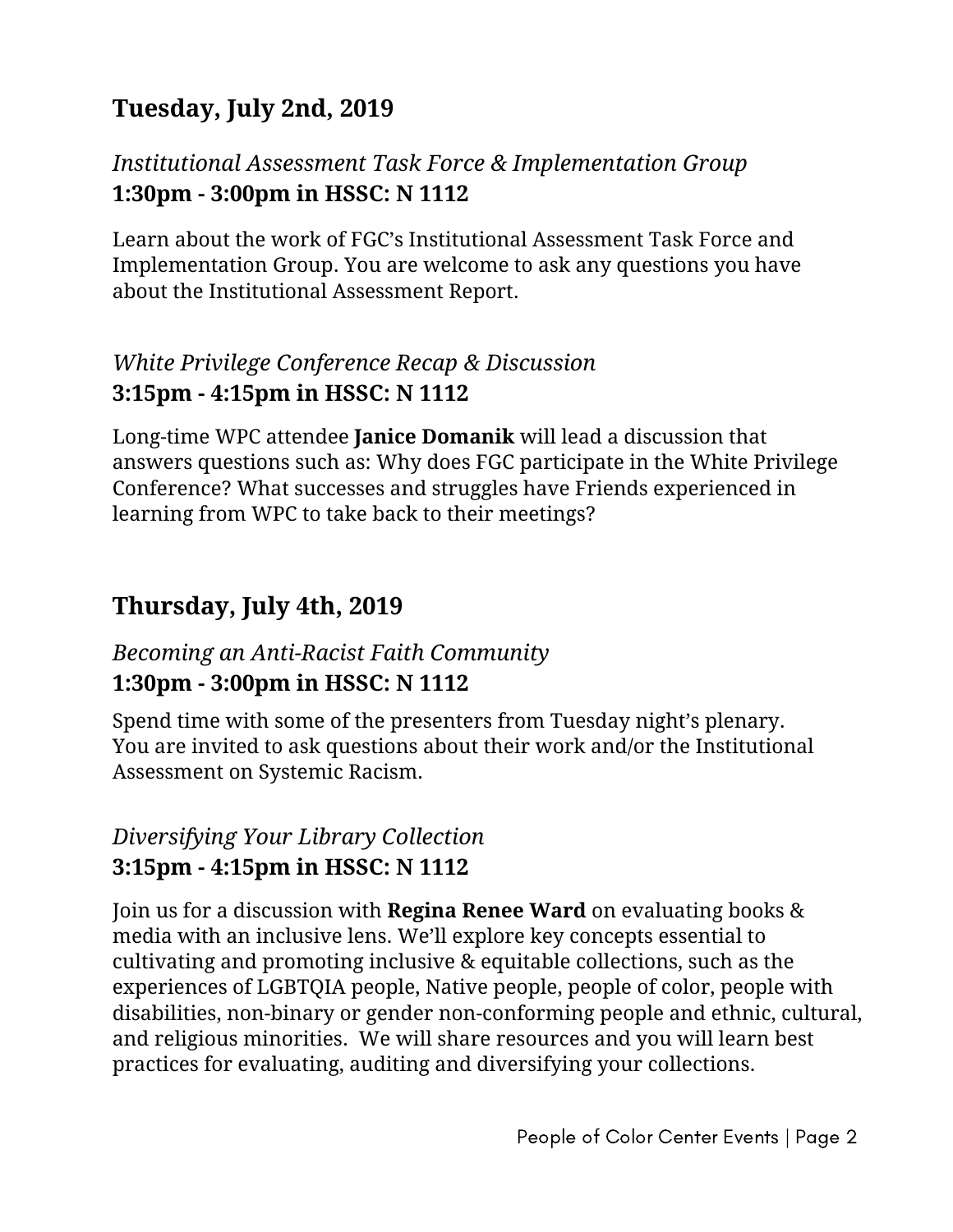# **Tuesday, July 2nd, 2019**

### *Institutional Assessment Task Force & Implementation Group* **1:30pm - 3:00pm in HSSC: N 1112**

Learn about the work of FGC's Institutional Assessment Task Force and Implementation Group. You are welcome to ask any questions you have about the Institutional Assessment Report.

### *White Privilege Conference Recap & Discussion* **3:15pm - 4:15pm in HSSC: N 1112**

Long-time WPC attendee **Janice Domanik** will lead a discussion that answers questions such as: Why does FGC participate in the White Privilege Conference? What successes and struggles have Friends experienced in learning from WPC to take back to their meetings?

## **Thursday, July 4th, 2019**

## *Becoming an Anti-Racist Faith Community* **1:30pm - 3:00pm in HSSC: N 1112**

Spend time with some of the presenters from Tuesday night's plenary. You are invited to ask questions about their work and/or the Institutional Assessment on Systemic Racism.

## *Diversifying Your Library Collection* **3:15pm - 4:15pm in HSSC: N 1112**

Join us for a discussion with **Regina Renee Ward** on evaluating books & media with an inclusive lens. We'll explore key concepts essential to cultivating and promoting inclusive & equitable collections, such as the experiences of LGBTQIA people, Native people, people of color, people with disabilities, non-binary or gender non-conforming people and ethnic, cultural, and religious minorities. We will share resources and you will learn best practices for evaluating, auditing and diversifying your collections.